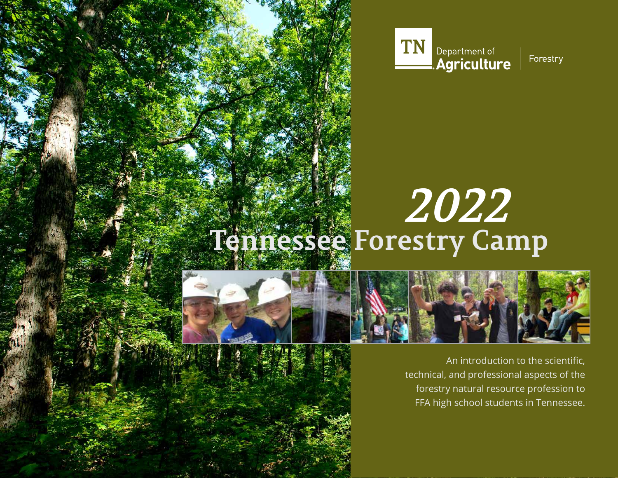

# **Tennessee Forestry Camp 2022**





An introduction to the scientific, technical, and professional aspects of the forestry natural resource profession to FFA high school students in Tennessee.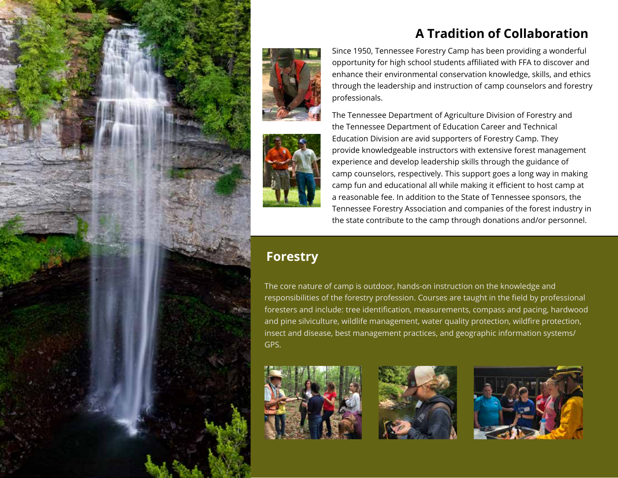



Since 1950, Tennessee Forestry Camp has been providing a wonderful opportunity for high school students affiliated with FFA to discover and enhance their environmental conservation knowledge, skills, and ethics through the leadership and instruction of camp counselors and forestry professionals.

The Tennessee Department of Agriculture Division of Forestry and the Tennessee Department of Education Career and Technical Education Division are avid supporters of Forestry Camp. They provide knowledgeable instructors with extensive forest management experience and develop leadership skills through the guidance of camp counselors, respectively. This support goes a long way in making camp fun and educational all while making it efficient to host camp at a reasonable fee. In addition to the State of Tennessee sponsors, the Tennessee Forestry Association and companies of the forest industry in the state contribute to the camp through donations and/or personnel.

# **Forestry**

The core nature of camp is outdoor, hands-on instruction on the knowledge and responsibilities of the forestry profession. Courses are taught in the field by professional foresters and include: tree identification, measurements, compass and pacing, hardwood and pine silviculture, wildlife management, water quality protection, wildfire protection, insect and disease, best management practices, and geographic information systems/ GPS.







# **A Tradition of Collaboration**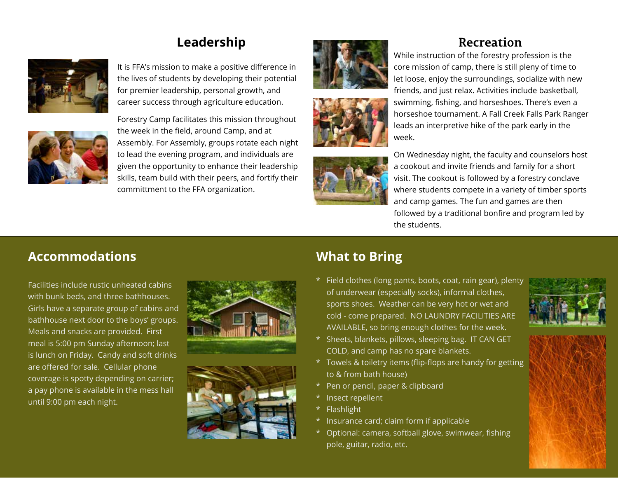

It is FFA's mission to make a positive difference in the lives of students by developing their potential for premier leadership, personal growth, and career success through agriculture education.



Forestry Camp facilitates this mission throughout the week in the field, around Camp, and at Assembly. For Assembly, groups rotate each night to lead the evening program, and individuals are given the opportunity to enhance their leadership skills, team build with their peers, and fortify their committment to the FFA organization.







While instruction of the forestry profession is the core mission of camp, there is still pleny of time to let loose, enjoy the surroundings, socialize with new friends, and just relax. Activities include basketball,

swimming, fishing, and horseshoes. There's even a horseshoe tournament. A Fall Creek Falls Park Ranger leads an interpretive hike of the park early in the week.

On Wednesday night, the faculty and counselors host a cookout and invite friends and family for a short visit. The cookout is followed by a forestry conclave where students compete in a variety of timber sports and camp games. The fun and games are then followed by a traditional bonfire and program led by the students.

## **Accommodations What to Bring**

Facilities include rustic unheated cabins with bunk beds, and three bathhouses. Girls have a separate group of cabins and bathhouse next door to the boys' groups. Meals and snacks are provided. First meal is 5:00 pm Sunday afternoon; last is lunch on Friday. Candy and soft drinks are offered for sale. Cellular phone coverage is spotty depending on carrier; a pay phone is available in the mess hall until 9:00 pm each night.





\* Field clothes (long pants, boots, coat, rain gear), plenty of underwear (especially socks), informal clothes, sports shoes. Weather can be very hot or wet and cold - come prepared. NO LAUNDRY FACILITIES ARE AVAILABLE, so bring enough clothes for the week.



- \* Sheets, blankets, pillows, sleeping bag. IT CAN GET COLD, and camp has no spare blankets.
- \* Towels & toiletry items (flip-flops are handy for getting to & from bath house)
- \* Pen or pencil, paper & clipboard
- \* Insect repellent
- \* Flashlight
- \* Insurance card; claim form if applicable
- \* Optional: camera, softball glove, swimwear, fishing pole, guitar, radio, etc.